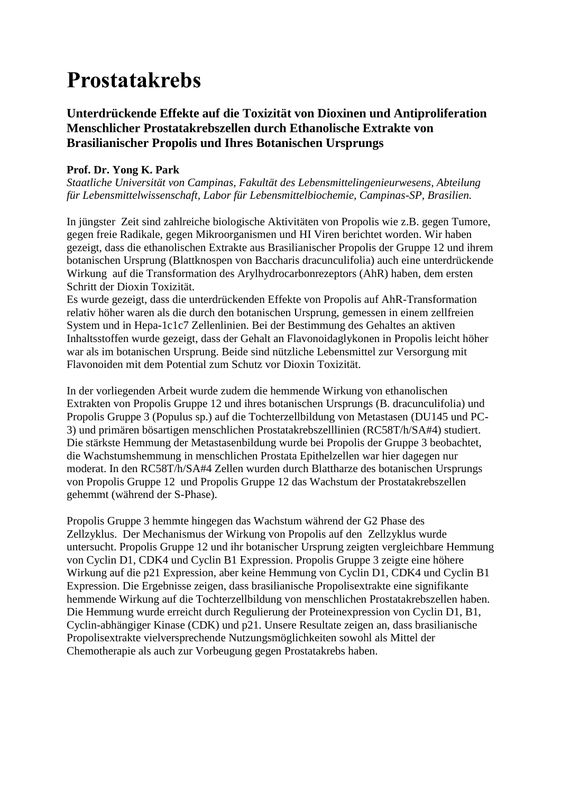## **Prostatakrebs**

### **Unterdrückende Effekte auf die Toxizität von Dioxinen und Antiproliferation Menschlicher Prostatakrebszellen durch Ethanolische Extrakte von Brasilianischer Propolis und Ihres Botanischen Ursprungs**

### **Prof. Dr. Yong K. Park**

*Staatliche Universität von Campinas, Fakultät des Lebensmittelingenieurwesens, Abteilung für Lebensmittelwissenschaft, Labor für Lebensmittelbiochemie, Campinas-SP, Brasilien.*

In jüngster Zeit sind zahlreiche biologische Aktivitäten von Propolis wie z.B. gegen Tumore, gegen freie Radikale, gegen Mikroorganismen und HI Viren berichtet worden. Wir haben gezeigt, dass die ethanolischen Extrakte aus Brasilianischer Propolis der Gruppe 12 und ihrem botanischen Ursprung (Blattknospen von Baccharis dracunculifolia) auch eine unterdrückende Wirkung auf die Transformation des Arylhydrocarbonrezeptors (AhR) haben, dem ersten Schritt der Dioxin Toxizität.

Es wurde gezeigt, dass die unterdrückenden Effekte von Propolis auf AhR-Transformation relativ höher waren als die durch den botanischen Ursprung, gemessen in einem zellfreien System und in Hepa-1c1c7 Zellenlinien. Bei der Bestimmung des Gehaltes an aktiven Inhaltsstoffen wurde gezeigt, dass der Gehalt an Flavonoidaglykonen in Propolis leicht höher war als im botanischen Ursprung. Beide sind nützliche Lebensmittel zur Versorgung mit Flavonoiden mit dem Potential zum Schutz vor Dioxin Toxizität.

In der vorliegenden Arbeit wurde zudem die hemmende Wirkung von ethanolischen Extrakten von Propolis Gruppe 12 und ihres botanischen Ursprungs (B. dracunculifolia) und Propolis Gruppe 3 (Populus sp.) auf die Tochterzellbildung von Metastasen (DU145 und PC-3) und primären bösartigen menschlichen Prostatakrebszelllinien (RC58T/h/SA#4) studiert. Die stärkste Hemmung der Metastasenbildung wurde bei Propolis der Gruppe 3 beobachtet, die Wachstumshemmung in menschlichen Prostata Epithelzellen war hier dagegen nur moderat. In den RC58T/h/SA#4 Zellen wurden durch Blattharze des botanischen Ursprungs von Propolis Gruppe 12 und Propolis Gruppe 12 das Wachstum der Prostatakrebszellen gehemmt (während der S-Phase).

Propolis Gruppe 3 hemmte hingegen das Wachstum während der G2 Phase des Zellzyklus. Der Mechanismus der Wirkung von Propolis auf den Zellzyklus wurde untersucht. Propolis Gruppe 12 und ihr botanischer Ursprung zeigten vergleichbare Hemmung von Cyclin D1, CDK4 und Cyclin B1 Expression. Propolis Gruppe 3 zeigte eine höhere Wirkung auf die p21 Expression, aber keine Hemmung von Cyclin D1, CDK4 und Cyclin B1 Expression. Die Ergebnisse zeigen, dass brasilianische Propolisextrakte eine signifikante hemmende Wirkung auf die Tochterzellbildung von menschlichen Prostatakrebszellen haben. Die Hemmung wurde erreicht durch Regulierung der Proteinexpression von Cyclin D1, B1, Cyclin-abhängiger Kinase (CDK) und p21. Unsere Resultate zeigen an, dass brasilianische Propolisextrakte vielversprechende Nutzungsmöglichkeiten sowohl als Mittel der Chemotherapie als auch zur Vorbeugung gegen Prostatakrebs haben.